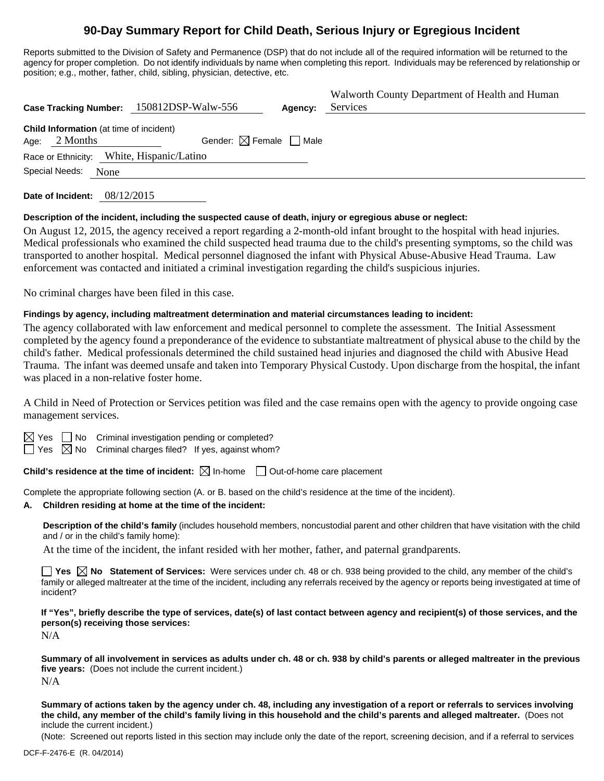# **90-Day Summary Report for Child Death, Serious Injury or Egregious Incident**

Reports submitted to the Division of Safety and Permanence (DSP) that do not include all of the required information will be returned to the agency for proper completion. Do not identify individuals by name when completing this report. Individuals may be referenced by relationship or position; e.g., mother, father, child, sibling, physician, detective, etc.

| Case Tracking Number: 150812DSP-Walw-556                            | Agency:                                | Walworth County Department of Health and Human<br>Services |
|---------------------------------------------------------------------|----------------------------------------|------------------------------------------------------------|
| <b>Child Information</b> (at time of incident)<br>2 Months<br>Age:  | Gender: $\boxtimes$ Female $\Box$ Male |                                                            |
| Race or Ethnicity: White, Hispanic/Latino<br>Special Needs:<br>None |                                        |                                                            |

**Date of Incident:** 08/12/2015

#### **Description of the incident, including the suspected cause of death, injury or egregious abuse or neglect:**

On August 12, 2015, the agency received a report regarding a 2-month-old infant brought to the hospital with head injuries. Medical professionals who examined the child suspected head trauma due to the child's presenting symptoms, so the child was transported to another hospital. Medical personnel diagnosed the infant with Physical Abuse-Abusive Head Trauma. Law enforcement was contacted and initiated a criminal investigation regarding the child's suspicious injuries.

No criminal charges have been filed in this case.

#### **Findings by agency, including maltreatment determination and material circumstances leading to incident:**

The agency collaborated with law enforcement and medical personnel to complete the assessment. The Initial Assessment completed by the agency found a preponderance of the evidence to substantiate maltreatment of physical abuse to the child by the child's father. Medical professionals determined the child sustained head injuries and diagnosed the child with Abusive Head Trauma. The infant was deemed unsafe and taken into Temporary Physical Custody. Upon discharge from the hospital, the infant was placed in a non-relative foster home.

A Child in Need of Protection or Services petition was filed and the case remains open with the agency to provide ongoing case management services.

 $\Box$  No Criminal investigation pending or completed?

 $\Box$  Yes  $\boxtimes$  No Criminal charges filed? If yes, against whom?

**Child's residence at the time of incident:**  $\boxtimes$  In-home  $\Box$  Out-of-home care placement

Complete the appropriate following section (A. or B. based on the child's residence at the time of the incident).

# **A. Children residing at home at the time of the incident:**

**Description of the child's family** (includes household members, noncustodial parent and other children that have visitation with the child and / or in the child's family home):

At the time of the incident, the infant resided with her mother, father, and paternal grandparents.

**Yes No Statement of Services:** Were services under ch. 48 or ch. 938 being provided to the child, any member of the child's family or alleged maltreater at the time of the incident, including any referrals received by the agency or reports being investigated at time of incident?

**If "Yes", briefly describe the type of services, date(s) of last contact between agency and recipient(s) of those services, and the person(s) receiving those services:** 

N/A

**Summary of all involvement in services as adults under ch. 48 or ch. 938 by child's parents or alleged maltreater in the previous five years:** (Does not include the current incident.) N/A

**Summary of actions taken by the agency under ch. 48, including any investigation of a report or referrals to services involving the child, any member of the child's family living in this household and the child's parents and alleged maltreater.** (Does not include the current incident.)

(Note: Screened out reports listed in this section may include only the date of the report, screening decision, and if a referral to services